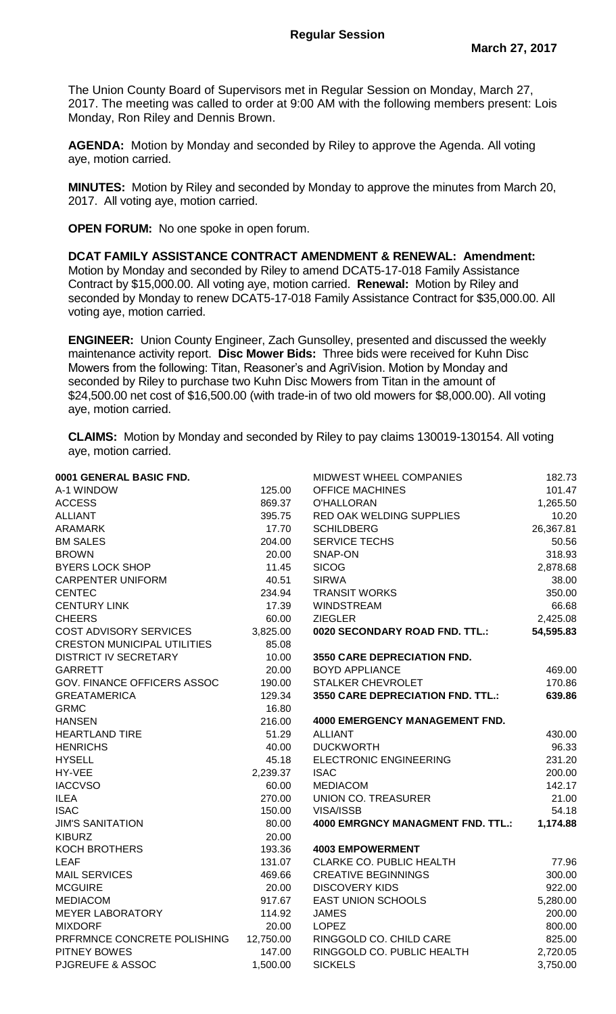The Union County Board of Supervisors met in Regular Session on Monday, March 27, 2017. The meeting was called to order at 9:00 AM with the following members present: Lois Monday, Ron Riley and Dennis Brown.

**AGENDA:** Motion by Monday and seconded by Riley to approve the Agenda. All voting aye, motion carried.

**MINUTES:** Motion by Riley and seconded by Monday to approve the minutes from March 20, 2017. All voting aye, motion carried.

**OPEN FORUM:** No one spoke in open forum.

**DCAT FAMILY ASSISTANCE CONTRACT AMENDMENT & RENEWAL: Amendment:**  Motion by Monday and seconded by Riley to amend DCAT5-17-018 Family Assistance Contract by \$15,000.00. All voting aye, motion carried. **Renewal:** Motion by Riley and seconded by Monday to renew DCAT5-17-018 Family Assistance Contract for \$35,000.00. All voting aye, motion carried.

**ENGINEER:** Union County Engineer, Zach Gunsolley, presented and discussed the weekly maintenance activity report. **Disc Mower Bids:** Three bids were received for Kuhn Disc Mowers from the following: Titan, Reasoner's and AgriVision. Motion by Monday and seconded by Riley to purchase two Kuhn Disc Mowers from Titan in the amount of \$24,500.00 net cost of \$16,500.00 (with trade-in of two old mowers for \$8,000.00). All voting aye, motion carried.

**CLAIMS:** Motion by Monday and seconded by Riley to pay claims 130019-130154. All voting aye, motion carried.

| 0001 GENERAL BASIC FND.            |           | MIDWEST WHEEL COMPANIES                  | 182.73    |
|------------------------------------|-----------|------------------------------------------|-----------|
| A-1 WINDOW                         | 125.00    | <b>OFFICE MACHINES</b>                   | 101.47    |
| <b>ACCESS</b>                      | 869.37    | O'HALLORAN                               | 1,265.50  |
| <b>ALLIANT</b>                     | 395.75    | RED OAK WELDING SUPPLIES                 | 10.20     |
| <b>ARAMARK</b>                     | 17.70     | <b>SCHILDBERG</b>                        | 26,367.81 |
| <b>BM SALES</b>                    | 204.00    | <b>SERVICE TECHS</b>                     | 50.56     |
| <b>BROWN</b>                       | 20.00     | SNAP-ON                                  | 318.93    |
| <b>BYERS LOCK SHOP</b>             | 11.45     | <b>SICOG</b>                             | 2,878.68  |
| <b>CARPENTER UNIFORM</b>           | 40.51     | <b>SIRWA</b>                             | 38.00     |
| <b>CENTEC</b>                      | 234.94    | <b>TRANSIT WORKS</b>                     | 350.00    |
| <b>CENTURY LINK</b>                | 17.39     | <b>WINDSTREAM</b>                        | 66.68     |
| <b>CHEERS</b>                      | 60.00     | <b>ZIEGLER</b>                           | 2,425.08  |
| COST ADVISORY SERVICES             | 3,825.00  | 0020 SECONDARY ROAD FND. TTL.:           | 54,595.83 |
| <b>CRESTON MUNICIPAL UTILITIES</b> | 85.08     |                                          |           |
| <b>DISTRICT IV SECRETARY</b>       | 10.00     | <b>3550 CARE DEPRECIATION FND.</b>       |           |
| <b>GARRETT</b>                     | 20.00     | <b>BOYD APPLIANCE</b>                    | 469.00    |
| GOV. FINANCE OFFICERS ASSOC        | 190.00    | STALKER CHEVROLET                        | 170.86    |
| <b>GREATAMERICA</b>                | 129.34    | 3550 CARE DEPRECIATION FND. TTL.:        | 639.86    |
| <b>GRMC</b>                        | 16.80     |                                          |           |
| <b>HANSEN</b>                      | 216.00    | <b>4000 EMERGENCY MANAGEMENT FND.</b>    |           |
| <b>HEARTLAND TIRE</b>              | 51.29     | <b>ALLIANT</b>                           | 430.00    |
| <b>HENRICHS</b>                    | 40.00     | <b>DUCKWORTH</b>                         | 96.33     |
| <b>HYSELL</b>                      | 45.18     | <b>ELECTRONIC ENGINEERING</b>            | 231.20    |
| HY-VEE                             | 2,239.37  | <b>ISAC</b>                              | 200.00    |
| <b>IACCVSO</b>                     | 60.00     | <b>MEDIACOM</b>                          | 142.17    |
| <b>ILEA</b>                        | 270.00    | <b>UNION CO. TREASURER</b>               | 21.00     |
| <b>ISAC</b>                        | 150.00    | VISA/ISSB                                | 54.18     |
| <b>JIM'S SANITATION</b>            | 80.00     | <b>4000 EMRGNCY MANAGMENT FND. TTL.:</b> | 1,174.88  |
| <b>KIBURZ</b>                      | 20.00     |                                          |           |
| <b>KOCH BROTHERS</b>               | 193.36    | <b>4003 EMPOWERMENT</b>                  |           |
| <b>LEAF</b>                        | 131.07    | CLARKE CO. PUBLIC HEALTH                 | 77.96     |
| <b>MAIL SERVICES</b>               | 469.66    | <b>CREATIVE BEGINNINGS</b>               | 300.00    |
| <b>MCGUIRE</b>                     | 20.00     | <b>DISCOVERY KIDS</b>                    | 922.00    |
| <b>MEDIACOM</b>                    | 917.67    | <b>EAST UNION SCHOOLS</b>                | 5,280.00  |
| <b>MEYER LABORATORY</b>            | 114.92    | <b>JAMES</b>                             | 200.00    |
| <b>MIXDORF</b>                     | 20.00     | <b>LOPEZ</b>                             | 800.00    |
| PRFRMNCE CONCRETE POLISHING        | 12,750.00 | RINGGOLD CO. CHILD CARE                  | 825.00    |
| PITNEY BOWES                       | 147.00    | RINGGOLD CO. PUBLIC HEALTH               | 2,720.05  |
| <b>PJGREUFE &amp; ASSOC</b>        | 1,500.00  | <b>SICKELS</b>                           | 3,750.00  |